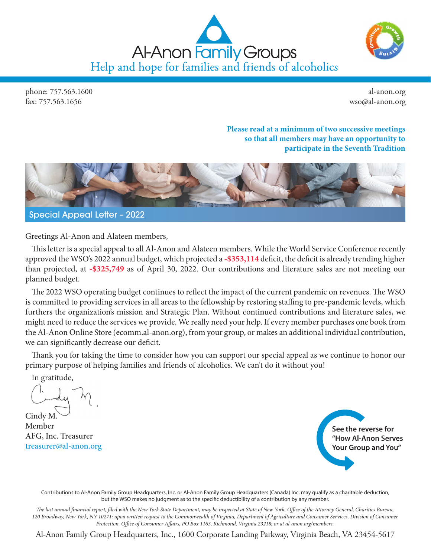



phone: 757.563.1600 fax: 757.563.1656

al-anon.org wso@al-anon.org

### **Please read at a minimum of two successive meetings so that all members may have an opportunity to participate in the Seventh Tradition**



Greetings Al-Anon and Alateen members,

This letter is a special appeal to all Al-Anon and Alateen members. While the World Service Conference recently approved the WSO's 2022 annual budget, which projected a **-\$353,114** deficit, the deficit is already trending higher than projected, at **-\$325,749** as of April 30, 2022. Our contributions and literature sales are not meeting our planned budget.

The 2022 WSO operating budget continues to reflect the impact of the current pandemic on revenues. The WSO is committed to providing services in all areas to the fellowship by restoring staffing to pre-pandemic levels, which furthers the organization's mission and Strategic Plan. Without continued contributions and literature sales, we might need to reduce the services we provide. We really need your help. If every member purchases one book from the Al-Anon Online Store ([ecomm.al-anon.org](https://ecomm.al-anon.org/en?)), from your group, or makes an additional individual contribution, we can significantly decrease our deficit.

Thank you for taking the time to consider how you can support our special appeal as we continue to honor our primary purpose of helping families and friends of alcoholics. We can't do it without you!

In gratitude,

Cindy M. Member AFG, Inc. Treasurer [treasurer@al-anon.org](mailto:treasurer@al-anon.org)



Contributions to Al-Anon Family Group Headquarters, Inc. or Al-Anon Family Group Headquarters (Canada) Inc. may qualify as a charitable deduction, but the WSO makes no judgment as to the specific deductibility of a contribution by any member.

*The last annual financial report, filed with the New York State Department, may be inspected at State of New York, Office of the Attorney General, Charities Bureau, 120 Broadway, New York, NY 10271; upon written request to the Commonwealth of Virginia, Department of Agriculture and Consumer Services, Division of Consumer Protection, Office of Consumer Affairs, PO Box 1163, Richmond, Virginia 23218; or at al-anon.org/members.* 

Al-Anon Family Group Headquarters, Inc., 1600 Corporate Landing Parkway, Virginia Beach, VA 23454-5617